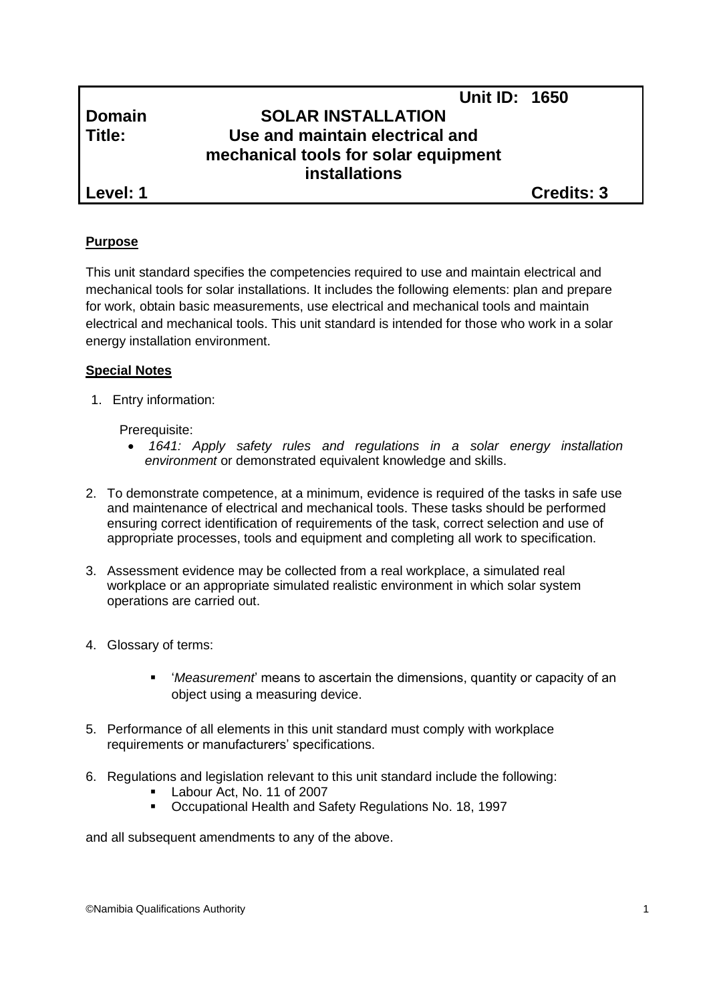# **Unit ID: 1650 Domain SOLAR INSTALLATION Title: Use and maintain electrical and mechanical tools for solar equipment installations**

**Level: 1 Credits: 3**

# **Purpose**

This unit standard specifies the competencies required to use and maintain electrical and mechanical tools for solar installations. It includes the following elements: plan and prepare for work, obtain basic measurements, use electrical and mechanical tools and maintain electrical and mechanical tools. This unit standard is intended for those who work in a solar energy installation environment.

# **Special Notes**

1. Entry information:

#### Prerequisite:

- *1641: Apply safety rules and regulations in a solar energy installation environment* or demonstrated equivalent knowledge and skills.
- 2. To demonstrate competence, at a minimum, evidence is required of the tasks in safe use and maintenance of electrical and mechanical tools. These tasks should be performed ensuring correct identification of requirements of the task, correct selection and use of appropriate processes, tools and equipment and completing all work to specification.
- 3. Assessment evidence may be collected from a real workplace, a simulated real workplace or an appropriate simulated realistic environment in which solar system operations are carried out.
- 4. Glossary of terms:
	- '*Measurement*' means to ascertain the dimensions, quantity or capacity of an object using a measuring device.
- 5. Performance of all elements in this unit standard must comply with workplace requirements or manufacturers' specifications.
- 6. Regulations and legislation relevant to this unit standard include the following:
	- Labour Act, No. 11 of 2007
	- Occupational Health and Safety Regulations No. 18, 1997

and all subsequent amendments to any of the above.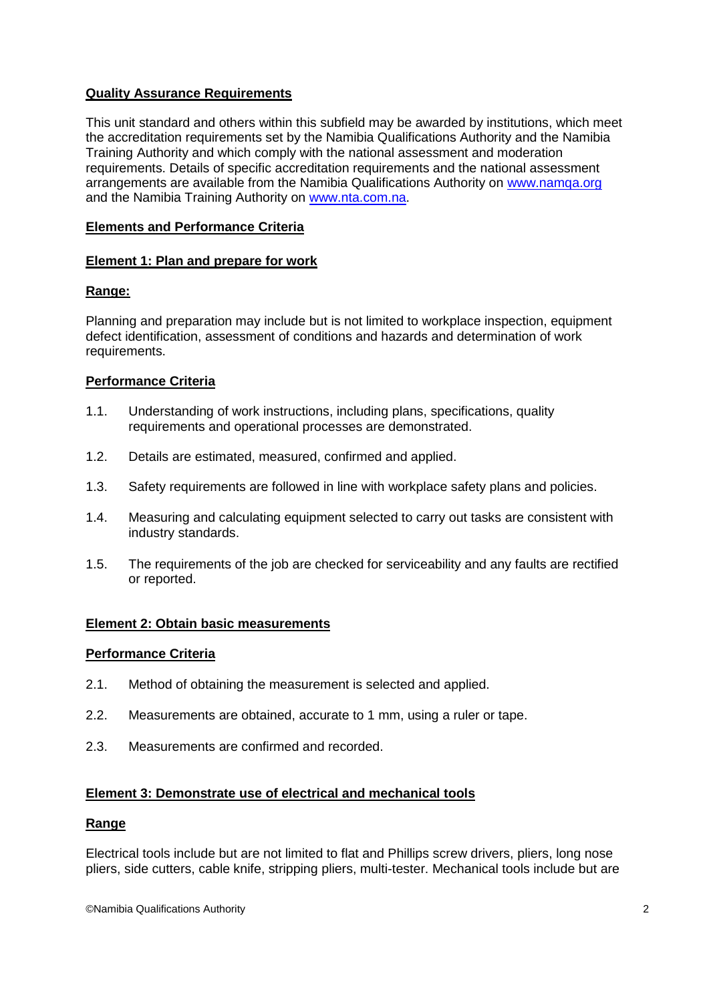# **Quality Assurance Requirements**

This unit standard and others within this subfield may be awarded by institutions, which meet the accreditation requirements set by the Namibia Qualifications Authority and the Namibia Training Authority and which comply with the national assessment and moderation requirements. Details of specific accreditation requirements and the national assessment arrangements are available from the Namibia Qualifications Authority on [www.namqa.org](http://www.namqa.org/) and the Namibia Training Authority on [www.nta.com.na.](http://www.nta.com.na/)

# **Elements and Performance Criteria**

## **Element 1: Plan and prepare for work**

## **Range:**

Planning and preparation may include but is not limited to workplace inspection, equipment defect identification, assessment of conditions and hazards and determination of work requirements.

## **Performance Criteria**

- 1.1. Understanding of work instructions, including plans, specifications, quality requirements and operational processes are demonstrated.
- 1.2. Details are estimated, measured, confirmed and applied.
- 1.3. Safety requirements are followed in line with workplace safety plans and policies.
- 1.4. Measuring and calculating equipment selected to carry out tasks are consistent with industry standards.
- 1.5. The requirements of the job are checked for serviceability and any faults are rectified or reported.

#### **Element 2: Obtain basic measurements**

#### **Performance Criteria**

- 2.1. Method of obtaining the measurement is selected and applied.
- 2.2. Measurements are obtained, accurate to 1 mm, using a ruler or tape.
- 2.3. Measurements are confirmed and recorded.

#### **Element 3: Demonstrate use of electrical and mechanical tools**

#### **Range**

Electrical tools include but are not limited to flat and Phillips screw drivers, pliers, long nose pliers, side cutters, cable knife, stripping pliers, multi-tester. Mechanical tools include but are